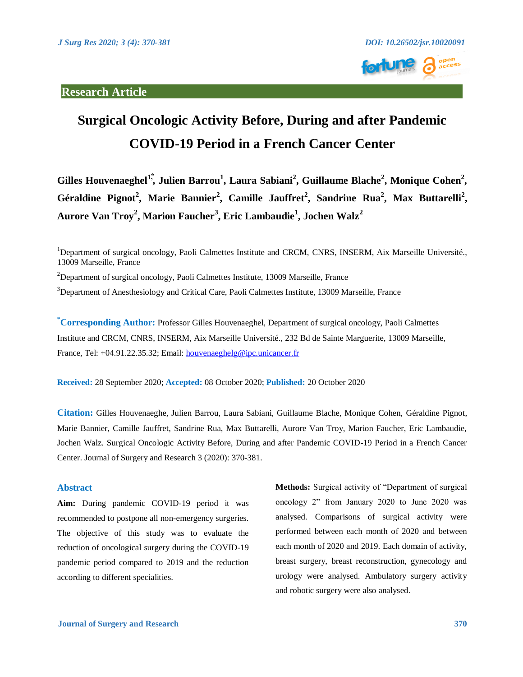

# **Surgical Oncologic Activity Before, During and after Pandemic COVID-19 Period in a French Cancer Center**

Gilles Houvenaeghel<sup>1</sup>, Julien Barrou<sup>1</sup>, Laura Sabiani<sup>2</sup>, Guillaume Blache<sup>2</sup>, Monique Cohen<sup>2</sup>, Géraldine Pignot<sup>2</sup>, Marie Bannier<sup>2</sup>, Camille Jauffret<sup>2</sup>, Sandrine Rua<sup>2</sup>, Max Buttarelli<sup>2</sup>, **Aurore Van Troy<sup>2</sup> , Marion Faucher<sup>3</sup> , Eric Lambaudie<sup>1</sup> , Jochen Walz<sup>2</sup>**

 $2$ Department of surgical oncology, Paoli Calmettes Institute, 13009 Marseille, France

 $3$ Department of Anesthesiology and Critical Care, Paoli Calmettes Institute, 13009 Marseille, France

**\*Corresponding Author:** Professor Gilles Houvenaeghel, Department of surgical oncology, Paoli Calmettes Institute and CRCM, CNRS, INSERM, Aix Marseille Université., 232 Bd de Sainte Marguerite, 13009 Marseille, France, Tel: +04.91.22.35.32; Email: [houvenaeghelg@ipc.unicancer.fr](mailto:houvenaeghelg@ipc.unicancer.fr)

**Received:** 28 September 2020; **Accepted:** 08 October 2020; **Published:** 20 October 2020

**Citation:** Gilles Houvenaeghe, Julien Barrou, Laura Sabiani, Guillaume Blache, Monique Cohen, Géraldine Pignot, Marie Bannier, Camille Jauffret, Sandrine Rua, Max Buttarelli, Aurore Van Troy, Marion Faucher, Eric Lambaudie, Jochen Walz. Surgical Oncologic Activity Before, During and after Pandemic COVID-19 Period in a French Cancer Center. Journal of Surgery and Research 3 (2020): 370-381.

#### **Abstract**

**Aim:** During pandemic COVID-19 period it was recommended to postpone all non-emergency surgeries. The objective of this study was to evaluate the reduction of oncological surgery during the COVID-19 pandemic period compared to 2019 and the reduction according to different specialities.

**Methods:** Surgical activity of "Department of surgical oncology 2" from January 2020 to June 2020 was analysed. Comparisons of surgical activity were performed between each month of 2020 and between each month of 2020 and 2019. Each domain of activity, breast surgery, breast reconstruction, gynecology and urology were analysed. Ambulatory surgery activity and robotic surgery were also analysed.

<sup>&</sup>lt;sup>1</sup>Department of surgical oncology, Paoli Calmettes Institute and CRCM, CNRS, INSERM, Aix Marseille Université., 13009 Marseille, France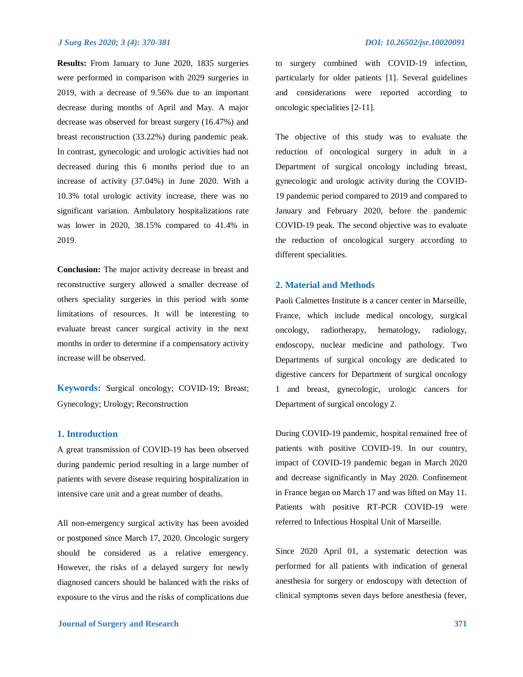**Results:** From January to June 2020, 1835 surgeries were performed in comparison with 2029 surgeries in 2019, with a decrease of 9.56% due to an important decrease during months of April and May. A major decrease was observed for breast surgery (16.47%) and breast reconstruction (33.22%) during pandemic peak. In contrast, gynecologic and urologic activities had not decreased during this 6 months period due to an increase of activity (37.04%) in June 2020. With a 10.3% total urologic activity increase, there was no significant variation. Ambulatory hospitalizations rate was lower in 2020, 38.15% compared to 41.4% in 2019.

**Conclusion:** The major activity decrease in breast and reconstructive surgery allowed a smaller decrease of others speciality surgeries in this period with some limitations of resources. It will be interesting to evaluate breast cancer surgical activity in the next months in order to determine if a compensatory activity increase will be observed.

**Keywords:** Surgical oncology; COVID-19; Breast; Gynecology; Urology; Reconstruction

#### **1. Introduction**

A great transmission of COVID-19 has been observed during pandemic period resulting in a large number of patients with severe disease requiring hospitalization in intensive care unit and a great number of deaths.

All non-emergency surgical activity has been avoided or postponed since March 17, 2020. Oncologic surgery should be considered as a relative emergency. However, the risks of a delayed surgery for newly diagnosed cancers should be balanced with the risks of exposure to the virus and the risks of complications due

to surgery combined with COVID-19 infection, particularly for older patients [1]. Several guidelines and considerations were reported according to oncologic specialities [2-11].

The objective of this study was to evaluate the reduction of oncological surgery in adult in a Department of surgical oncology including breast, gynecologic and urologic activity during the COVID-19 pandemic period compared to 2019 and compared to January and February 2020, before the pandemic COVID-19 peak. The second objective was to evaluate the reduction of oncological surgery according to different specialities.

#### **2. Material and Methods**

Paoli Calmettes Institute is a cancer center in Marseille, France, which include medical oncology, surgical oncology, radiotherapy, hematology, radiology, endoscopy, nuclear medicine and pathology. Two Departments of surgical oncology are dedicated to digestive cancers for Department of surgical oncology 1 and breast, gynecologic, urologic cancers for Department of surgical oncology 2.

During COVID-19 pandemic, hospital remained free of patients with positive COVID-19. In our country, impact of COVID-19 pandemic began in March 2020 and decrease significantly in May 2020. Confinement in France began on March 17 and was lifted on May 11. Patients with positive RT-PCR COVID-19 were referred to Infectious Hospital Unit of Marseille.

Since 2020 April 01, a systematic detection was performed for all patients with indication of general anesthesia for surgery or endoscopy with detection of clinical symptoms seven days before anesthesia (fever,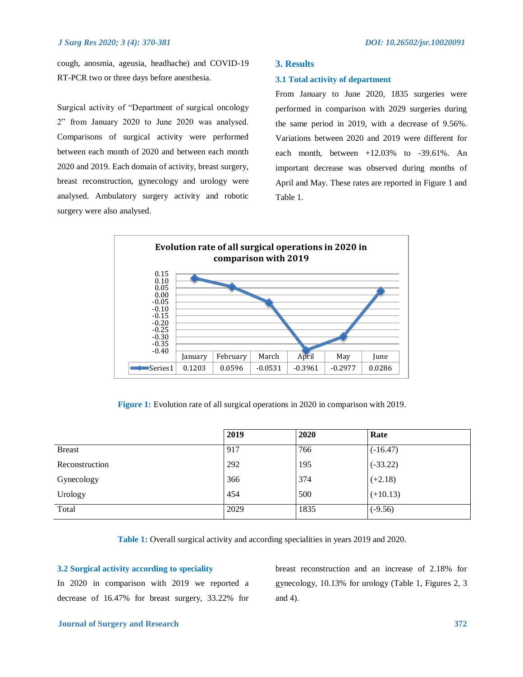cough, anosmia, ageusia, headhache) and COVID-19 RT-PCR two or three days before anesthesia.

Surgical activity of "Department of surgical oncology 2" from January 2020 to June 2020 was analysed. Comparisons of surgical activity were performed between each month of 2020 and between each month 2020 and 2019. Each domain of activity, breast surgery, breast reconstruction, gynecology and urology were analysed. Ambulatory surgery activity and robotic surgery were also analysed.

#### **3. Results**

#### **3.1 Total activity of department**

From January to June 2020, 1835 surgeries were performed in comparison with 2029 surgeries during the same period in 2019, with a decrease of 9.56%. Variations between 2020 and 2019 were different for each month, between  $+12.03\%$  to  $-39.61\%$ . An important decrease was observed during months of April and May. These rates are reported in Figure 1 and Table 1.



**Figure 1:** Evolution rate of all surgical operations in 2020 in comparison with 2019.

|                | 2019 | 2020 | Rate       |
|----------------|------|------|------------|
| <b>Breast</b>  | 917  | 766  | $(-16.47)$ |
| Reconstruction | 292  | 195  | $(-33.22)$ |
| Gynecology     | 366  | 374  | $(+2.18)$  |
| Urology        | 454  | 500  | $(+10.13)$ |
| Total          | 2029 | 1835 | $(-9.56)$  |

**Table 1:** Overall surgical activity and according specialities in years 2019 and 2020.

#### **3.2 Surgical activity according to speciality**

In 2020 in comparison with 2019 we reported a decrease of 16.47% for breast surgery, 33.22% for

breast reconstruction and an increase of 2.18% for gynecology, 10.13% for urology (Table 1, Figures 2, 3 and 4).

#### *Journal of Surgery and Research* **372**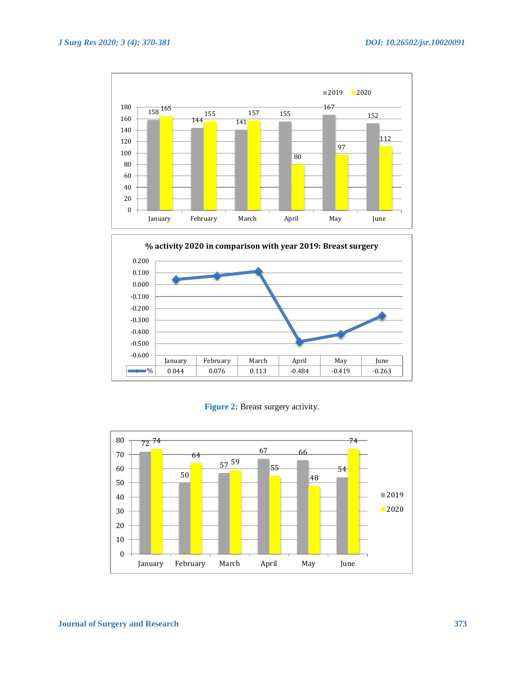



**Figure 2:** Breast surgery activity.

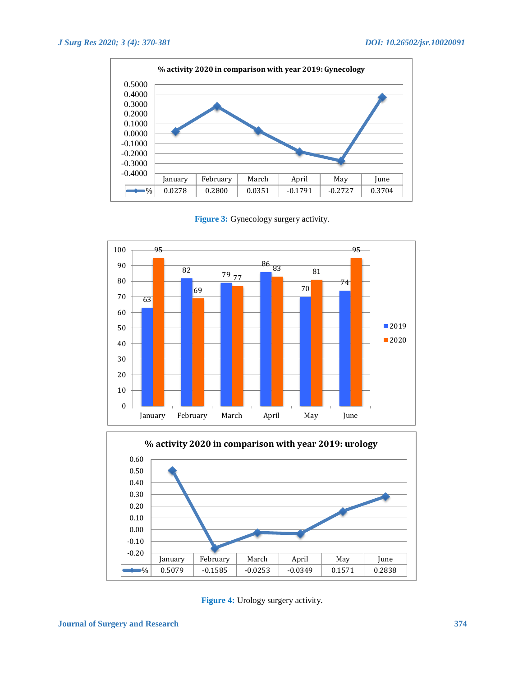

Figure 3: Gynecology surgery activity.





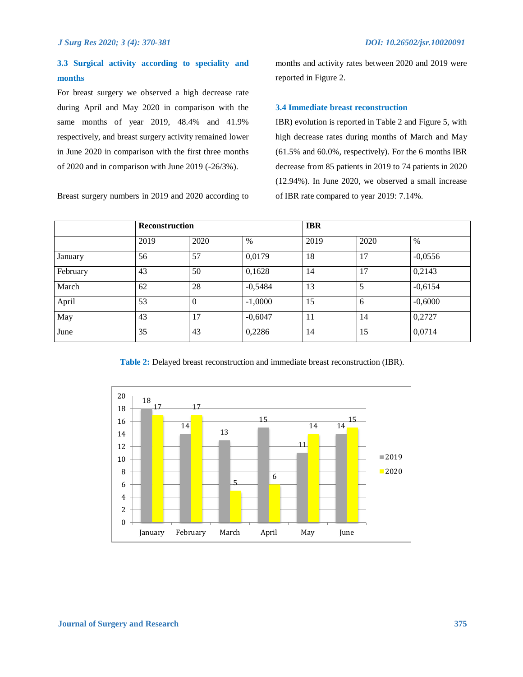## **3.3 Surgical activity according to speciality and months**

For breast surgery we observed a high decrease rate during April and May 2020 in comparison with the same months of year 2019, 48.4% and 41.9% respectively, and breast surgery activity remained lower in June 2020 in comparison with the first three months of 2020 and in comparison with June 2019 (-26/3%).

Breast surgery numbers in 2019 and 2020 according to

months and activity rates between 2020 and 2019 were reported in Figure 2.

#### **3.4 Immediate breast reconstruction**

IBR) evolution is reported in Table 2 and Figure 5, with high decrease rates during months of March and May (61.5% and 60.0%, respectively). For the 6 months IBR decrease from 85 patients in 2019 to 74 patients in 2020 (12.94%). In June 2020, we observed a small increase of IBR rate compared to year 2019: 7.14%.

|          | <b>Reconstruction</b> |          |           | <b>IBR</b> |      |           |  |
|----------|-----------------------|----------|-----------|------------|------|-----------|--|
|          | 2019                  | 2020     | $\%$      | 2019       | 2020 | $\%$      |  |
| January  | 56                    | 57       | 0,0179    | 18         | 17   | $-0,0556$ |  |
| February | 43                    | 50       | 0,1628    | 14         | 17   | 0,2143    |  |
| March    | 62                    | 28       | $-0,5484$ | 13         | 5    | $-0,6154$ |  |
| April    | 53                    | $\theta$ | $-1,0000$ | 15         | 6    | $-0,6000$ |  |
| May      | 43                    | 17       | $-0,6047$ | 11         | 14   | 0,2727    |  |
| June     | 35                    | 43       | 0,2286    | 14         | 15   | 0,0714    |  |

**Table 2:** Delayed breast reconstruction and immediate breast reconstruction (IBR).

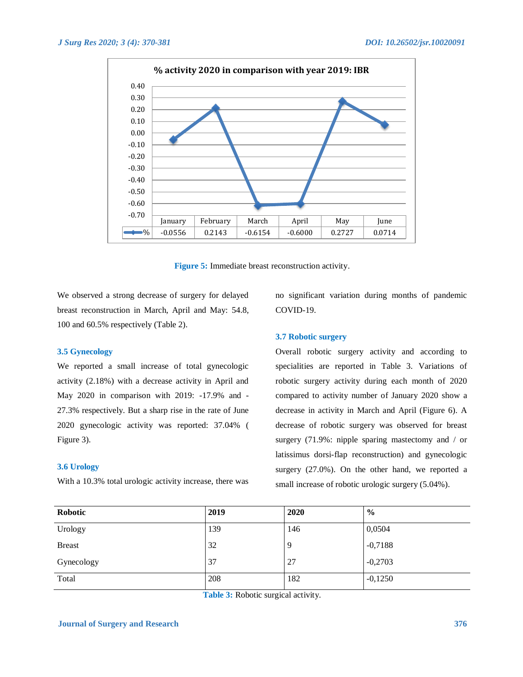

**Figure 5:** Immediate breast reconstruction activity.

We observed a strong decrease of surgery for delayed breast reconstruction in March, April and May: 54.8, 100 and 60.5% respectively (Table 2).

#### **3.5 Gynecology**

We reported a small increase of total gynecologic activity (2.18%) with a decrease activity in April and May 2020 in comparison with 2019: -17.9% and - 27.3% respectively. But a sharp rise in the rate of June 2020 gynecologic activity was reported: 37.04% ( Figure 3).

#### **3.6 Urology**

With a 10.3% total urologic activity increase, there was

no significant variation during months of pandemic COVID-19.

#### **3.7 Robotic surgery**

Overall robotic surgery activity and according to specialities are reported in Table 3. Variations of robotic surgery activity during each month of 2020 compared to activity number of January 2020 show a decrease in activity in March and April (Figure 6). A decrease of robotic surgery was observed for breast surgery (71.9%: nipple sparing mastectomy and / or latissimus dorsi-flap reconstruction) and gynecologic surgery (27.0%). On the other hand, we reported a small increase of robotic urologic surgery (5.04%).

| Robotic       | 2019 | 2020 | $\frac{0}{0}$ |
|---------------|------|------|---------------|
| Urology       | 139  | 146  | 0,0504        |
| <b>Breast</b> | 32   | 9    | $-0,7188$     |
| Gynecology    | 37   | 27   | $-0,2703$     |
| Total         | 208  | 182  | $-0,1250$     |

**Table 3:** Robotic surgical activity.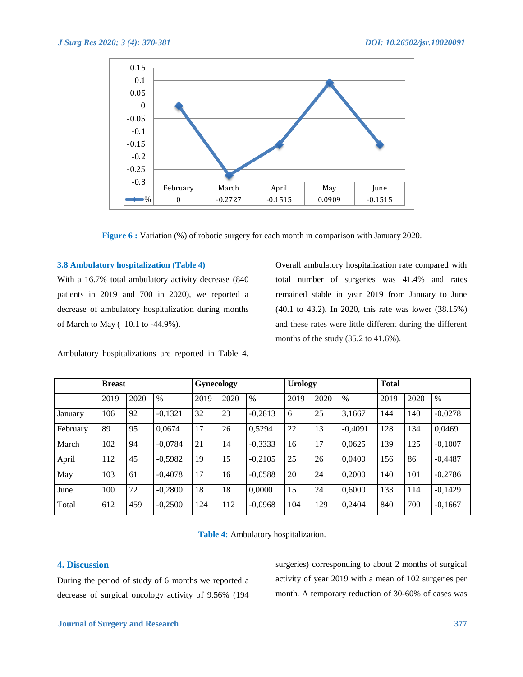

**Figure 6 :** Variation (%) of robotic surgery for each month in comparison with January 2020.

#### **3.8 Ambulatory hospitalization (Table 4)**

With a 16.7% total ambulatory activity decrease (840 patients in 2019 and 700 in 2020), we reported a decrease of ambulatory hospitalization during months of March to May (–10.1 to -44.9%).

Ambulatory hospitalizations are reported in Table 4.

Overall ambulatory hospitalization rate compared with total number of surgeries was 41.4% and rates remained stable in year 2019 from January to June (40.1 to 43.2). In 2020, this rate was lower (38.15%) and these rates were little different during the different months of the study (35.2 to 41.6%).

|          | <b>Breast</b> |      |           | <b>Gynecology</b> |      | <b>Urology</b> |      |      | <b>Total</b> |      |      |           |
|----------|---------------|------|-----------|-------------------|------|----------------|------|------|--------------|------|------|-----------|
|          | 2019          | 2020 | $\%$      | 2019              | 2020 | $\%$           | 2019 | 2020 | $\%$         | 2019 | 2020 | $\%$      |
| January  | 106           | 92   | $-0,1321$ | 32                | 23   | $-0,2813$      | 6    | 25   | 3,1667       | 144  | 140  | $-0,0278$ |
| February | 89            | 95   | 0,0674    | 17                | 26   | 0,5294         | 22   | 13   | $-0.4091$    | 128  | 134  | 0,0469    |
| March    | 102           | 94   | $-0.0784$ | 21                | 14   | $-0,3333$      | 16   | 17   | 0.0625       | 139  | 125  | $-0,1007$ |
| April    | 112           | 45   | $-0,5982$ | 19                | 15   | $-0,2105$      | 25   | 26   | 0.0400       | 156  | 86   | $-0,4487$ |
| May      | 103           | 61   | $-0,4078$ | 17                | 16   | $-0.0588$      | 20   | 24   | 0.2000       | 140  | 101  | $-0,2786$ |
| June     | 100           | 72   | $-0.2800$ | 18                | 18   | 0,0000         | 15   | 24   | 0.6000       | 133  | 114  | $-0,1429$ |
| Total    | 612           | 459  | $-0,2500$ | 124               | 112  | $-0,0968$      | 104  | 129  | 0,2404       | 840  | 700  | $-0,1667$ |

**Table 4:** Ambulatory hospitalization.

### **4. Discussion**

During the period of study of 6 months we reported a decrease of surgical oncology activity of 9.56% (194 surgeries) corresponding to about 2 months of surgical activity of year 2019 with a mean of 102 surgeries per month. A temporary reduction of 30-60% of cases was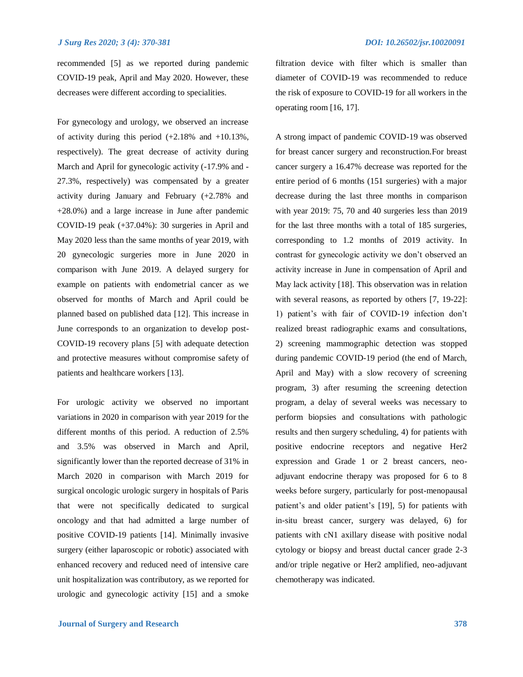recommended [5] as we reported during pandemic COVID-19 peak, April and May 2020. However, these decreases were different according to specialities.

For gynecology and urology, we observed an increase of activity during this period  $(+2.18\%$  and  $+10.13\%$ , respectively). The great decrease of activity during March and April for gynecologic activity (-17.9% and - 27.3%, respectively) was compensated by a greater activity during January and February (+2.78% and +28.0%) and a large increase in June after pandemic COVID-19 peak (+37.04%): 30 surgeries in April and May 2020 less than the same months of year 2019, with 20 gynecologic surgeries more in June 2020 in comparison with June 2019. A delayed surgery for example on patients with endometrial cancer as we observed for months of March and April could be planned based on published data [12]. This increase in June corresponds to an organization to develop post-COVID-19 recovery plans [5] with adequate detection and protective measures without compromise safety of patients and healthcare workers [13].

For urologic activity we observed no important variations in 2020 in comparison with year 2019 for the different months of this period. A reduction of 2.5% and 3.5% was observed in March and April, significantly lower than the reported decrease of 31% in March 2020 in comparison with March 2019 for surgical oncologic urologic surgery in hospitals of Paris that were not specifically dedicated to surgical oncology and that had admitted a large number of positive COVID-19 patients [14]. Minimally invasive surgery (either laparoscopic or robotic) associated with enhanced recovery and reduced need of intensive care unit hospitalization was contributory, as we reported for urologic and gynecologic activity [15] and a smoke

filtration device with filter which is smaller than diameter of COVID-19 was recommended to reduce the risk of exposure to COVID-19 for all workers in the operating room [16, 17].

A strong impact of pandemic COVID-19 was observed for breast cancer surgery and reconstruction.For breast cancer surgery a 16.47% decrease was reported for the entire period of 6 months (151 surgeries) with a major decrease during the last three months in comparison with year 2019: 75, 70 and 40 surgeries less than 2019 for the last three months with a total of 185 surgeries, corresponding to 1.2 months of 2019 activity. In contrast for gynecologic activity we don't observed an activity increase in June in compensation of April and May lack activity [18]. This observation was in relation with several reasons, as reported by others [7, 19-22]: 1) patient's with fair of COVID-19 infection don't realized breast radiographic exams and consultations, 2) screening mammographic detection was stopped during pandemic COVID-19 period (the end of March, April and May) with a slow recovery of screening program, 3) after resuming the screening detection program, a delay of several weeks was necessary to perform biopsies and consultations with pathologic results and then surgery scheduling, 4) for patients with positive endocrine receptors and negative Her2 expression and Grade 1 or 2 breast cancers, neoadjuvant endocrine therapy was proposed for 6 to 8 weeks before surgery, particularly for post-menopausal patient's and older patient's [19], 5) for patients with in-situ breast cancer, surgery was delayed, 6) for patients with cN1 axillary disease with positive nodal cytology or biopsy and breast ductal cancer grade 2-3 and/or triple negative or Her2 amplified, neo-adjuvant chemotherapy was indicated.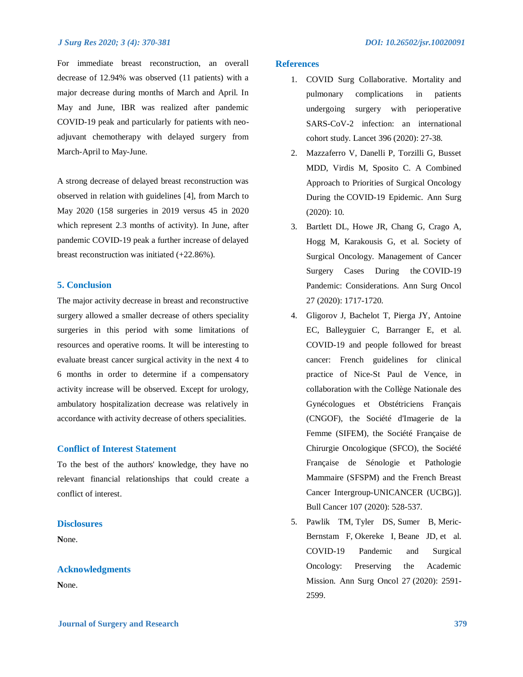For immediate breast reconstruction, an overall decrease of 12.94% was observed (11 patients) with a major decrease during months of March and April. In May and June, IBR was realized after pandemic COVID-19 peak and particularly for patients with neoadjuvant chemotherapy with delayed surgery from March-April to May-June.

A strong decrease of delayed breast reconstruction was observed in relation with guidelines [4], from March to May 2020 (158 surgeries in 2019 versus 45 in 2020 which represent 2.3 months of activity). In June, after pandemic COVID-19 peak a further increase of delayed breast reconstruction was initiated (+22.86%).

#### **5. Conclusion**

The major activity decrease in breast and reconstructive surgery allowed a smaller decrease of others speciality surgeries in this period with some limitations of resources and operative rooms. It will be interesting to evaluate breast cancer surgical activity in the next 4 to 6 months in order to determine if a compensatory activity increase will be observed. Except for urology, ambulatory hospitalization decrease was relatively in accordance with activity decrease of others specialities.

#### **Conflict of Interest Statement**

To the best of the authors' knowledge, they have no relevant financial relationships that could create a conflict of interest.

#### **Disclosures**

**N**one.

#### **Acknowledgments**

**N**one.

#### **References**

- 1. COVID Surg Collaborative. Mortality and pulmonary complications in patients undergoing surgery with perioperative SARS-CoV-2 infection: an international cohort study. Lancet 396 (2020): 27-38.
- 2. Mazzaferro V, Danelli P, Torzilli G, Busset MDD, Virdis M, Sposito C. A Combined Approach to Priorities of Surgical Oncology During the COVID-19 Epidemic. Ann Surg (2020): 10.
- 3. Bartlett DL, Howe JR, Chang G, Crago A, Hogg M, Karakousis G, et al. Society of Surgical Oncology. [Management of Cancer](https://pubmed.ncbi.nlm.nih.gov/32270420/)  [Surgery Cases During the](https://pubmed.ncbi.nlm.nih.gov/32270420/) COVID-19 [Pandemic: Considerations.](https://pubmed.ncbi.nlm.nih.gov/32270420/) Ann Surg Oncol 27 (2020): 1717-1720.
- 4. Gligorov J, Bachelot T, Pierga JY, Antoine EC, Balleyguier C, Barranger E, et al. COVID-19 and people followed for breast cancer: French guidelines for clinical practice of Nice-St Paul de Vence, in collaboration with the Collège Nationale des Gynécologues et Obstétriciens Français (CNGOF), the Société d'Imagerie de la Femme (SIFEM), the Société Française de Chirurgie Oncologique (SFCO), the Société Française de Sénologie et Pathologie Mammaire (SFSPM) and the French Breast Cancer Intergroup-UNICANCER (UCBG)]. Bull Cancer 107 (2020): 528-537.
- 5. Pawlik TM, Tyler DS, Sumer B, Meric-Bernstam F, Okereke I, Beane JD, et al. COVID-19 Pandemic and Surgical Oncology: Preserving the Academic Mission. Ann Surg Oncol 27 (2020): 2591- 2599.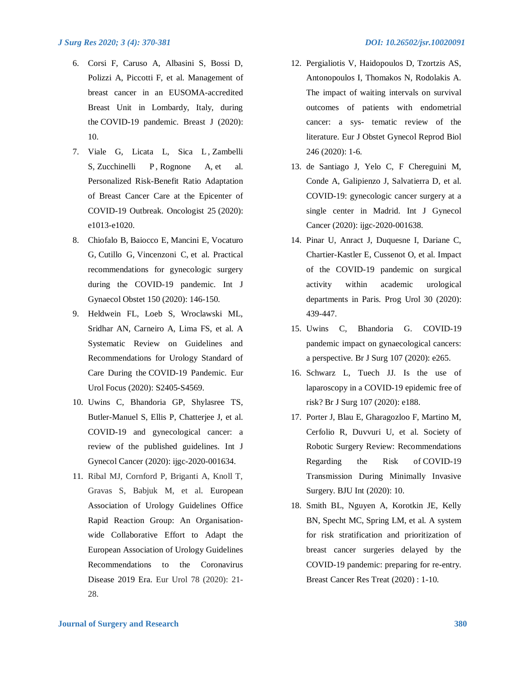- 6. Corsi F, Caruso A, Albasini S, Bossi D, Polizzi A, Piccotti F, et al. [Management of](https://pubmed.ncbi.nlm.nih.gov/32475022/)  [breast cancer in an EUSOMA-accredited](https://pubmed.ncbi.nlm.nih.gov/32475022/)  [Breast Unit in Lombardy, Italy, during](https://pubmed.ncbi.nlm.nih.gov/32475022/)  the [COVID-19 pandemic.](https://pubmed.ncbi.nlm.nih.gov/32475022/) Breast J (2020): 10.
- 7. Viale G, Licata L, Sica L, Zambelli S, Zucchinelli P, Rognone A, et al. Personalized Risk-Benefit Ratio Adaptation of Breast Cancer Care at the Epicenter of COVID-19 Outbreak. Oncologist 25 (2020): e1013-e1020.
- 8. Chiofalo B, Baiocco E, Mancini E, Vocaturo G, Cutillo G, Vincenzoni C, et al. Practical recommendations for gynecologic surgery during the COVID-19 pandemic. Int J Gynaecol Obstet 150 (2020): 146-150.
- 9. Heldwein FL, Loeb S, Wroclawski ML, Sridhar AN, Carneiro A, Lima FS, et al. A Systematic Review on Guidelines and Recommendations for Urology Standard of Care During the COVID-19 Pandemic. Eur Urol Focus (2020): S2405-S4569.
- 10. Uwins C, Bhandoria GP, Shylasree TS, Butler-Manuel S, Ellis P, Chatterjee J, et al. COVID-19 and gynecological cancer: a review of the published guidelines. Int J Gynecol Cancer (2020): ijgc-2020-001634.
- 11. Ribal MJ, Cornford P, Briganti A, Knoll T, Gravas S, Babjuk M, et al. European Association of Urology Guidelines Office Rapid Reaction Group: An Organisationwide Collaborative Effort to Adapt the European Association of Urology Guidelines Recommendations to the Coronavirus Disease 2019 Era. Eur Urol 78 (2020): 21- 28.
- 12. Pergialiotis V, Haidopoulos D, Tzortzis AS, Antonopoulos I, Thomakos N, Rodolakis A. The impact of waiting intervals on survival outcomes of patients with endometrial cancer: a sys- tematic review of the literature. Eur J Obstet Gynecol Reprod Biol 246 (2020): 1-6.
- 13. de Santiago J, Yelo C, F Chereguini M, Conde A, Galipienzo J, Salvatierra D, et al. COVID-19: gynecologic cancer surgery at a single center in Madrid. Int J Gynecol Cancer (2020): ijgc-2020-001638.
- 14. Pinar U, Anract J, Duquesne I, Dariane C, Chartier-Kastler E, Cussenot O, et al. Impact of the COVID-19 pandemic on surgical activity within academic urological departments in Paris. Prog Urol 30 (2020): 439-447.
- 15. Uwins C, Bhandoria G. COVID-19 pandemic impact on gynaecological cancers: a perspective. Br J Surg 107 (2020): e265.
- 16. Schwarz L, Tuech JJ. Is the use of laparoscopy in a COVID-19 epidemic free of risk? Br J Surg 107 (2020): e188.
- 17. Porter J, Blau E, Gharagozloo F, Martino M, Cerfolio R, Duvvuri U, et al. Society of Robotic Surgery Review: Recommendations Regarding the Risk of COVID-19 Transmission During Minimally Invasive Surgery. BJU Int (2020): 10.
- 18. Smith BL, Nguyen A, Korotkin JE, Kelly BN, Specht MC, Spring LM, et al. A system for risk stratification and prioritization of breast cancer surgeries delayed by the COVID-19 pandemic: preparing for re-entry. Breast Cancer Res Treat (2020) : 1-10.